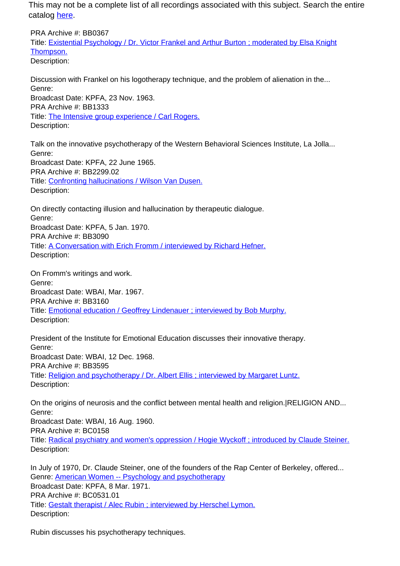PRA Archive #: BB0367 Title: Existential Psychology / Dr. Victor Frankel and Arthur Burton ; moderated by Elsa Knight Thompson. Description:

Discussion with Frankel on his logotherapy technique, and the problem of alienation in the... Genre: Broadcast Date: KPFA, 23 Nov. 1963. PRA Archive #: BB1333 Title: The Intensive group experience / Carl Rogers. Description:

Talk on the innovative psychotherapy of the Western Behavioral Sciences Institute, La Jolla... Genre: Broadcast Date: KPFA, 22 June 1965. PRA Archive #: BB2299.02 Title: Confronting hallucinations / Wilson Van Dusen. Description:

On directly contacting illusion and hallucination by therapeutic dialogue. Genre: Broadcast Date: KPFA, 5 Jan. 1970. PRA Archive #: BB3090 Title: A Conversation with Erich Fromm / interviewed by Richard Hefner. Description:

On Fromm's writings and work. Genre: Broadcast Date: WBAI, Mar. 1967. PRA Archive #: BB3160 Title: Emotional education / Geoffrey Lindenauer ; interviewed by Bob Murphy. Description:

President of the Institute for Emotional Education discusses their innovative therapy. Genre: Broadcast Date: WBAI, 12 Dec. 1968. PRA Archive #: BB3595 Title: Religion and psychotherapy / Dr. Albert Ellis ; interviewed by Margaret Luntz. Description:

On the origins of neurosis and the conflict between mental health and religion.|RELIGION AND... Genre: Broadcast Date: WBAI, 16 Aug. 1960. PRA Archive #: BC0158 Title: Radical psychiatry and women's oppression / Hogie Wyckoff ; introduced by Claude Steiner. Description:

In July of 1970, Dr. Claude Steiner, one of the founders of the Rap Center of Berkeley, offered... Genre: American Women -- Psychology and psychotherapy Broadcast Date: KPFA, 8 Mar. 1971. PRA Archive #: BC0531.01 Title: Gestalt therapist / Alec Rubin ; interviewed by Herschel Lymon. Description:

Rubin discusses his psychotherapy techniques.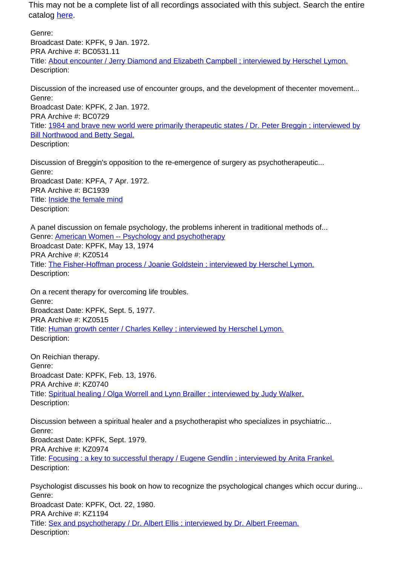Genre: Broadcast Date: KPFK, 9 Jan. 1972. PRA Archive #: BC0531.11 Title: About encounter / Jerry Diamond and Elizabeth Campbell ; interviewed by Herschel Lymon. Description:

Discussion of the increased use of encounter groups, and the development of thecenter movement... Genre: Broadcast Date: KPFK, 2 Jan. 1972. PRA Archive #: BC0729 Title: 1984 and brave new world were primarily therapeutic states / Dr. Peter Breggin ; interviewed by Bill Northwood and Betty Segal. Description:

Discussion of Breggin's opposition to the re-emergence of surgery as psychotherapeutic... Genre: Broadcast Date: KPFA, 7 Apr. 1972. PRA Archive #: BC1939 Title: Inside the female mind Description:

A panel discussion on female psychology, the problems inherent in traditional methods of... Genre: American Women -- Psychology and psychotherapy Broadcast Date: KPFK, May 13, 1974 PRA Archive #: KZ0514 Title: The Fisher-Hoffman process / Joanie Goldstein ; interviewed by Herschel Lymon. Description:

On a recent therapy for overcoming life troubles. Genre: Broadcast Date: KPFK, Sept. 5, 1977. PRA Archive #: KZ0515 Title: Human growth center / Charles Kelley ; interviewed by Herschel Lymon. Description:

On Reichian therapy. Genre: Broadcast Date: KPFK, Feb. 13, 1976. PRA Archive #: KZ0740 Title: Spiritual healing / Olga Worrell and Lynn Brailler ; interviewed by Judy Walker. Description:

Discussion between a spiritual healer and a psychotherapist who specializes in psychiatric... Genre: Broadcast Date: KPFK, Sept. 1979. PRA Archive #: KZ0974 Title: Focusing : a key to successful therapy / Eugene Gendlin ; interviewed by Anita Frankel. Description:

Psychologist discusses his book on how to recognize the psychological changes which occur during... Genre: Broadcast Date: KPFK, Oct. 22, 1980. PRA Archive #: KZ1194 Title: Sex and psychotherapy / Dr. Albert Ellis ; interviewed by Dr. Albert Freeman. Description: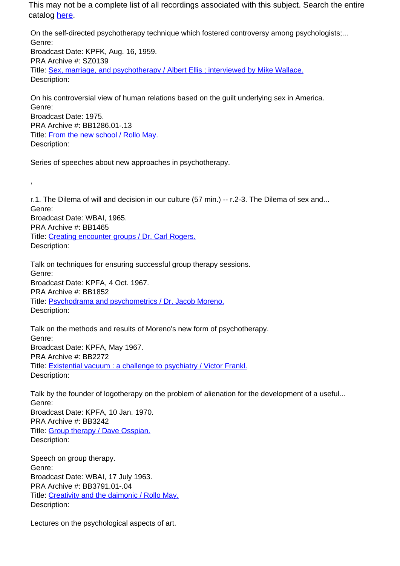On the self-directed psychotherapy technique which fostered controversy among psychologists;... Genre: Broadcast Date: KPFK, Aug. 16, 1959. PRA Archive #: SZ0139 Title: Sex, marriage, and psychotherapy / Albert Ellis ; interviewed by Mike Wallace. Description:

On his controversial view of human relations based on the guilt underlying sex in America. Genre: Broadcast Date: 1975. PRA Archive #: BB1286.01-.13 Title: From the new school / Rollo May. Description:

Series of speeches about new approaches in psychotherapy.

,

r.1. The Dilema of will and decision in our culture (57 min.) -- r.2-3. The Dilema of sex and... Genre: Broadcast Date: WBAI, 1965. PRA Archive #: BB1465 Title: Creating encounter groups / Dr. Carl Rogers. Description:

Talk on techniques for ensuring successful group therapy sessions. Genre: Broadcast Date: KPFA, 4 Oct. 1967. PRA Archive #: BB1852 Title: Psychodrama and psychometrics / Dr. Jacob Moreno. Description:

Talk on the methods and results of Moreno's new form of psychotherapy. Genre: Broadcast Date: KPFA, May 1967. PRA Archive #: BB2272 Title: Existential vacuum : a challenge to psychiatry / Victor Frankl. Description:

Talk by the founder of logotherapy on the problem of alienation for the development of a useful... Genre: Broadcast Date: KPFA, 10 Jan. 1970. PRA Archive #: BB3242 Title: Group therapy / Dave Osspian. Description:

Speech on group therapy. Genre: Broadcast Date: WBAI, 17 July 1963. PRA Archive #: BB3791.01-.04 Title: Creativity and the daimonic / Rollo May. Description:

Lectures on the psychological aspects of art.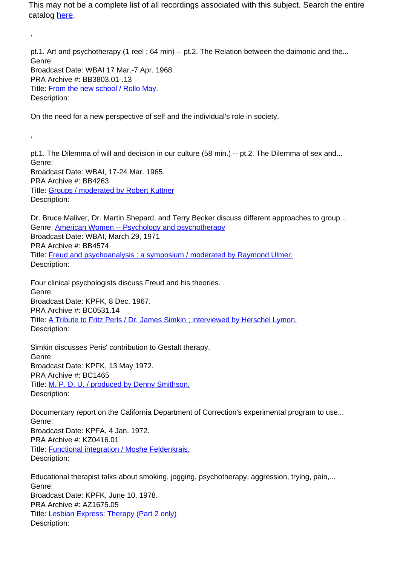pt.1. Art and psychotherapy (1 reel : 64 min) -- pt.2. The Relation between the daimonic and the... Genre: Broadcast Date: WBAI 17 Mar.-7 Apr. 1968. PRA Archive #: BB3803.01-.13 Title: From the new school / Rollo May. Description:

On the need for a new perspective of self and the individual's role in society.

,

,

pt.1. The Dilemma of will and decision in our culture (58 min.) -- pt.2. The Dilemma of sex and... Genre: Broadcast Date: WBAI, 17-24 Mar. 1965. PRA Archive #: BB4263 Title: Groups / moderated by Robert Kuttner Description:

Dr. Bruce Maliver, Dr. Martin Shepard, and Terry Becker discuss different approaches to group... Genre: American Women -- Psychology and psychotherapy Broadcast Date: WBAI, March 29, 1971 PRA Archive #: BB4574 Title: Freud and psychoanalysis : a symposium / moderated by Raymond Ulmer. Description:

Four clinical psychologists discuss Freud and his theories. Genre: Broadcast Date: KPFK, 8 Dec. 1967. PRA Archive #: BC0531.14 Title: A Tribute to Fritz Perls / Dr. James Simkin ; interviewed by Herschel Lymon. Description:

Simkin discusses Peris' contribution to Gestalt therapy. Genre: Broadcast Date: KPFK, 13 May 1972. PRA Archive #: BC1465 Title: M. P. D. U. / produced by Denny Smithson. Description:

Documentary report on the California Department of Correction's experimental program to use... Genre: Broadcast Date: KPFA, 4 Jan. 1972. PRA Archive #: KZ0416.01 Title: Functional integration / Moshe Feldenkrais. Description:

Educational therapist talks about smoking, jogging, psychotherapy, aggression, trying, pain,... Genre: Broadcast Date: KPFK, June 10, 1978. PRA Archive #: AZ1675.05 Title: Lesbian Express: Therapy (Part 2 only) Description: